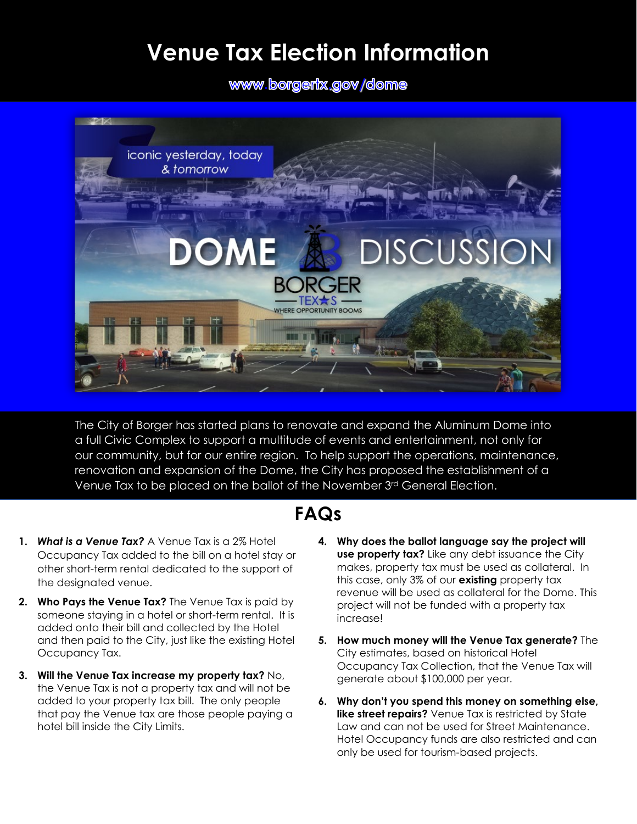## **Venue Tax Election Information**

www.borgerix.gov[/](http://www.borgertx.gov/dome)dome



The City of Borger has started plans to renovate and expand the Aluminum Dome into a full Civic Complex to support a multitude of events and entertainment, not only for our community, but for our entire region. To help support the operations, maintenance, renovation and expansion of the Dome, the City has proposed the establishment of a Venue Tax to be placed on the ballot of the November 3rd General Election.

## **FAQs**

- **1.** *What is a Venue Tax?* A Venue Tax is a 2% Hotel Occupancy Tax added to the bill on a hotel stay or other short-term rental dedicated to the support of the designated venue.
- **2. Who Pays the Venue Tax?** The Venue Tax is paid by someone staying in a hotel or short-term rental. It is added onto their bill and collected by the Hotel and then paid to the City, just like the existing Hotel Occupancy Tax.
- **3. Will the Venue Tax increase my property tax?** No, the Venue Tax is not a property tax and will not be added to your property tax bill. The only people that pay the Venue tax are those people paying a hotel bill inside the City Limits.
- **4. Why does the ballot language say the project will use property tax?** Like any debt issuance the City makes, property tax must be used as collateral. In this case, only 3% of our **existing** property tax revenue will be used as collateral for the Dome. This project will not be funded with a property tax increase!
- **5. How much money will the Venue Tax generate?** The City estimates, based on historical Hotel Occupancy Tax Collection, that the Venue Tax will generate about \$100,000 per year.
- **6. Why don't you spend this money on something else, like street repairs?** Venue Tax is restricted by State Law and can not be used for Street Maintenance. Hotel Occupancy funds are also restricted and can only be used for tourism-based projects.